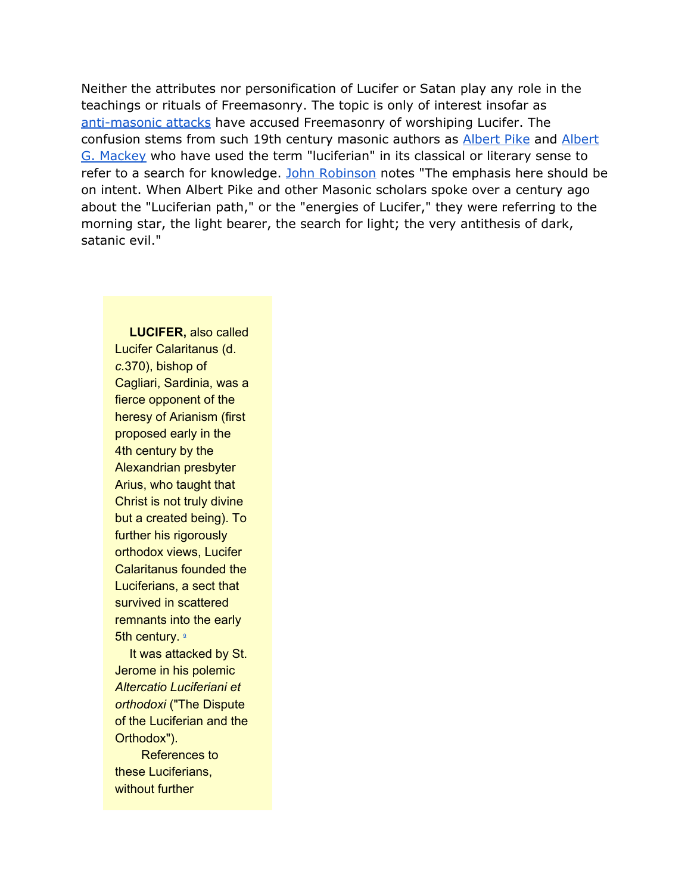Neither the attributes nor personification of Lucifer or Satan play any role in the teachings or rituals of Freemasonry. The topic is only of interest insofar as [anti-masonic](http://freemasonry.bcy.ca/anti-masonry/luciferianism.html) attacks have accused Freemasonry of worshiping Lucifer. The confusion stems from such 19th century masonic authors as [Albert](http://freemasonry.bcy.ca/biography/pike_a/pike_a.html) Pike and [Albert](http://freemasonry.bcy.ca/biography/mackey_a/mackey_a.html) G. [Mackey](http://freemasonry.bcy.ca/biography/mackey_a/mackey_a.html) who have used the term "luciferian" in its classical or literary sense to refer to a search for knowledge. John [Robinson](http://freemasonry.bcy.ca/bibliography.html#[JJR2]) notes "The emphasis here should be on intent. When Albert Pike and other Masonic scholars spoke over a century ago about the "Luciferian path," or the "energies of Lucifer," they were referring to the morning star, the light bearer, the search for light; the very antithesis of dark, satanic evil."

**LUCIFER,** also called Lucifer Calaritanus (d. *c.*370), bishop of Cagliari, Sardinia, was a fierce opponent of the heresy of Arianism (first proposed early in the 4th century by the Alexandrian presbyter Arius, who taught that Christ is not truly divine but a created being). To further his rigorously orthodox views, Lucifer Calaritanus founded the Luciferians, a sect that survived in scattered remnants into the early 5th century. <sup>2</sup>

[I](http://freemasonry.bcy.ca/texts/luciferandsatan.html#9)t was attacked by St. Jerome in his polemic *Altercatio Luciferiani et orthodoxi* ("The Dispute of the Luciferian and the Orthodox").

References to these Luciferians, without further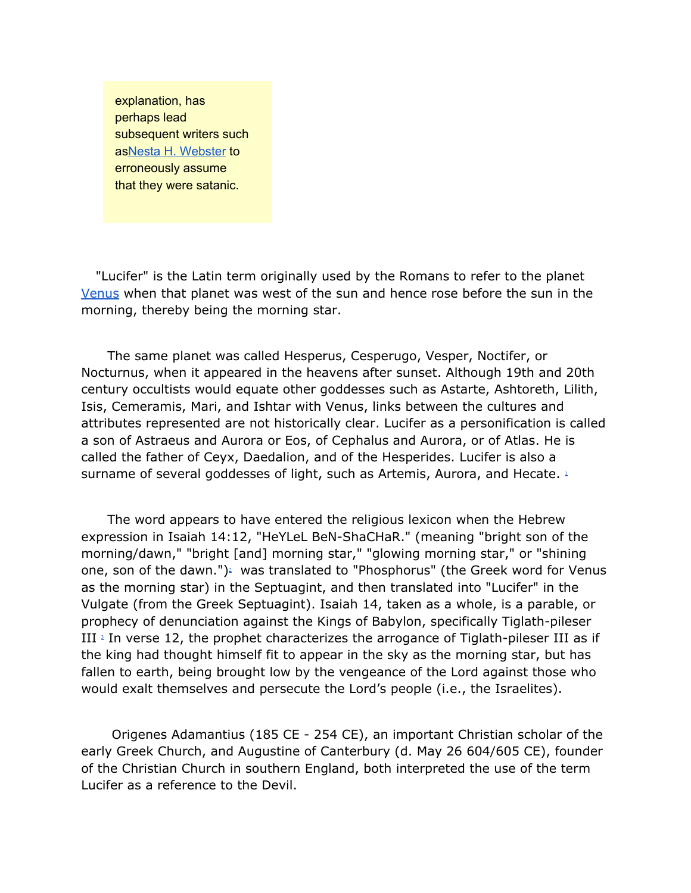explanation, has perhaps lead subsequent writers such asNesta H. [Webster](http://freemasonry.bcy.ca/anti-masonry/webster_n.html#01) to erroneously assume that they were satanic.

"Lucifer" is the Latin term originally used by the Romans to refer to the planet [Venus](http://freemasonry.bcy.ca/anti-masonry/venus.html) when that planet was west of the sun and hence rose before the sun in the morning, thereby being the morning star.

The same planet was called Hesperus, Cesperugo, Vesper, Noctifer, or Nocturnus, when it appeared in the heavens after sunset. Although 19th and 20th century occultists would equate other goddesses such as Astarte, Ashtoreth, Lilith, Isis, Cemeramis, Mari, and Ishtar with Venus, links between the cultures and attributes represented are not historically clear. Lucifer as a personification is called a son of Astraeus and Aurora or Eos, of Cephalus and Aurora, or of Atlas. He is called the father of Ceyx, Daedalion, and of the Hesperides. Lucifer is also a surname of several goddesses of light, such as Artemis, Aurora, and Hecate. [1](http://freemasonry.bcy.ca/texts/luciferandsatan.html#1)

The word appears to have entered the religious lexicon when the Hebrew expression in Isaiah 14:12, "HeYLeL BeN-ShaCHaR." (meaning "bright son of the morning/dawn," "bright [and] morning star," "glowing morning star," or "shining one, son of the dawn.") [2](http://freemasonry.bcy.ca/texts/luciferandsatan.html#2). was translated to "Phosphorus" (the Greek word for Venus as the morning star) in the Septuagint, and then translated into "Lucifer" in the Vulgate (from the Greek Septuagint). Isaiah 14, taken as a whole, is a parable, or prophecy of denunciation against the Kings of Babylon, specifically Tiglath-pileser III [3](http://freemasonry.bcy.ca/texts/luciferandsatan.html#3) In verse 12, the prophet characterizes the arrogance of Tiglath-pileser III as if the king had thought himself fit to appear in the sky as the morning star, but has fallen to earth, being brought low by the vengeance of the Lord against those who would exalt themselves and persecute the Lord's people (i.e., the Israelites).

Origenes Adamantius (185 CE - 254 CE), an important Christian scholar of the early Greek Church, and Augustine of Canterbury (d. May 26 604/605 CE), founder of the Christian Church in southern England, both interpreted the use of the term Lucifer as a reference to the Devil.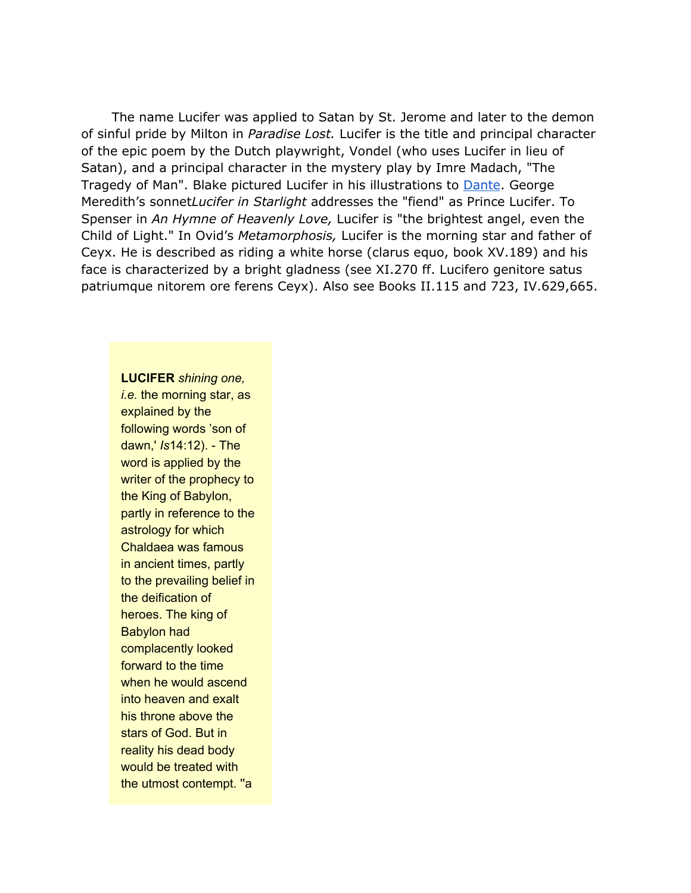The name Lucifer was applied to Satan by St. Jerome and later to the demon of sinful pride by Milton in *Paradise Lost.* Lucifer is the title and principal character of the epic poem by the Dutch playwright, Vondel (who uses Lucifer in lieu of Satan), and a principal character in the mystery play by Imre Madach, "The Tragedy of Man". Blake pictured Lucifer in his illustrations to [Dante](http://freemasonry.bcy.ca/biography/alghieri_d/alghieri_d.html). George Meredith's sonnet*Lucifer in Starlight* addresses the "fiend" as Prince Lucifer. To Spenser in *An Hymne of Heavenly Love,* Lucifer is "the brightest angel, even the Child of Light." In Ovid's *Metamorphosis,* Lucifer is the morning star and father of Ceyx. He is described as riding a white horse (clarus equo, book XV.189) and his face is characterized by a bright gladness (see XI.270 ff. Lucifero genitore satus patriumque nitorem ore ferens Ceyx). Also see Books II.115 and 723, IV.629,665.

**LUCIFER** *shining one, i.e.* the morning star, as explained by the following words 'son of dawn,' *Is*14:12). - The word is applied by the writer of the prophecy to the King of Babylon, partly in reference to the astrology for which Chaldaea was famous in ancient times, partly to the prevailing belief in the deification of heroes. The king of Babylon had complacently looked forward to the time when he would ascend into heaven and exalt his throne above the stars of God. But in reality his dead body would be treated with the utmost contempt. ''a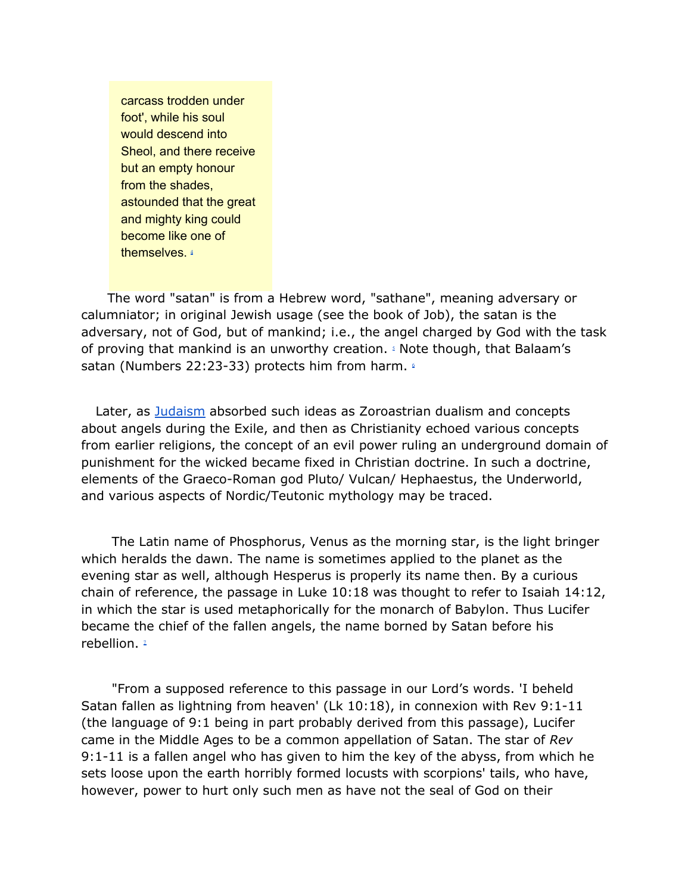carcass trodden under foot', while his soul would descend into Sheol, and there receive but an empty honour from the shades, astounded that the great and mighty king could become like one of themselves. [4](http://freemasonry.bcy.ca/texts/luciferandsatan.html#4)

The word "satan" is from a Hebrew word, "sathane", meaning adversary or calumniator; in original Jewish usage (see the book of Job), the satan is the adversary, not of God, but of mankind; i.e., the angel charged by God with the task of proving that mankind is an unworthy creation. [5](http://freemasonry.bcy.ca/texts/luciferandsatan.html#5) Note though, that Balaam's satan (Numbers 22:23-33) protects him from harm. 4

Later, as [Judaism](http://freemasonry.bcy.ca/anti-masonry/judaism.html) absorbed such ideas as Zoroastrian dualism and concepts about angels during the Exile, and then as Christianity echoed various concepts from earlier religions, the concept of an evil power ruling an underground domain of punishment for the wicked became fixed in Christian doctrine. In such a doctrine, elements of the Graeco-Roman god Pluto/ Vulcan/ Hephaestus, the Underworld, and various aspects of Nordic/Teutonic mythology may be traced.

The Latin name of Phosphorus, Venus as the morning star, is the light bringer which heralds the dawn. The name is sometimes applied to the planet as the evening star as well, although Hesperus is properly its name then. By a curious chain of reference, the passage in Luke 10:18 was thought to refer to Isaiah 14:12, in which the star is used metaphorically for the monarch of Babylon. Thus Lucifer became the chief of the fallen angels, the name borned by Satan before his rebellion. [7](http://freemasonry.bcy.ca/texts/luciferandsatan.html#7)

"From a supposed reference to this passage in our Lord's words. 'I beheld Satan fallen as lightning from heaven' (Lk 10:18), in connexion with Rev 9:1-11 (the language of 9:1 being in part probably derived from this passage), Lucifer came in the Middle Ages to be a common appellation of Satan. The star of *Rev* 9:1-11 is a fallen angel who has given to him the key of the abyss, from which he sets loose upon the earth horribly formed locusts with scorpions' tails, who have, however, power to hurt only such men as have not the seal of God on their